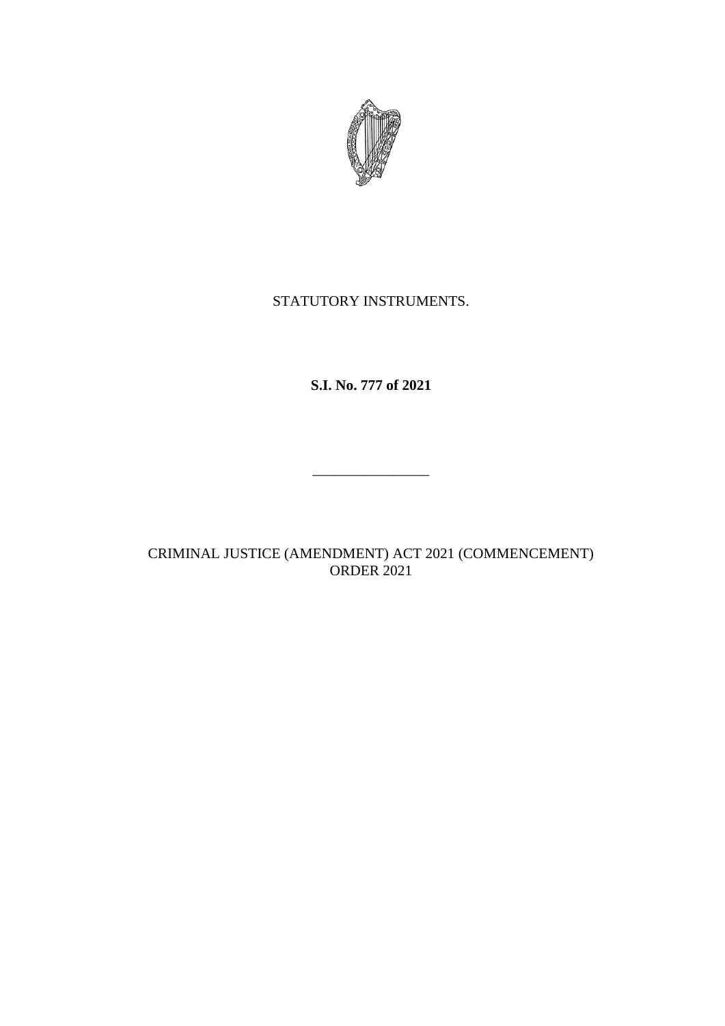

## STATUTORY INSTRUMENTS.

# **S.I. No. 777 of 2021**

## CRIMINAL JUSTICE (AMENDMENT) ACT 2021 (COMMENCEMENT) ORDER 2021

\_\_\_\_\_\_\_\_\_\_\_\_\_\_\_\_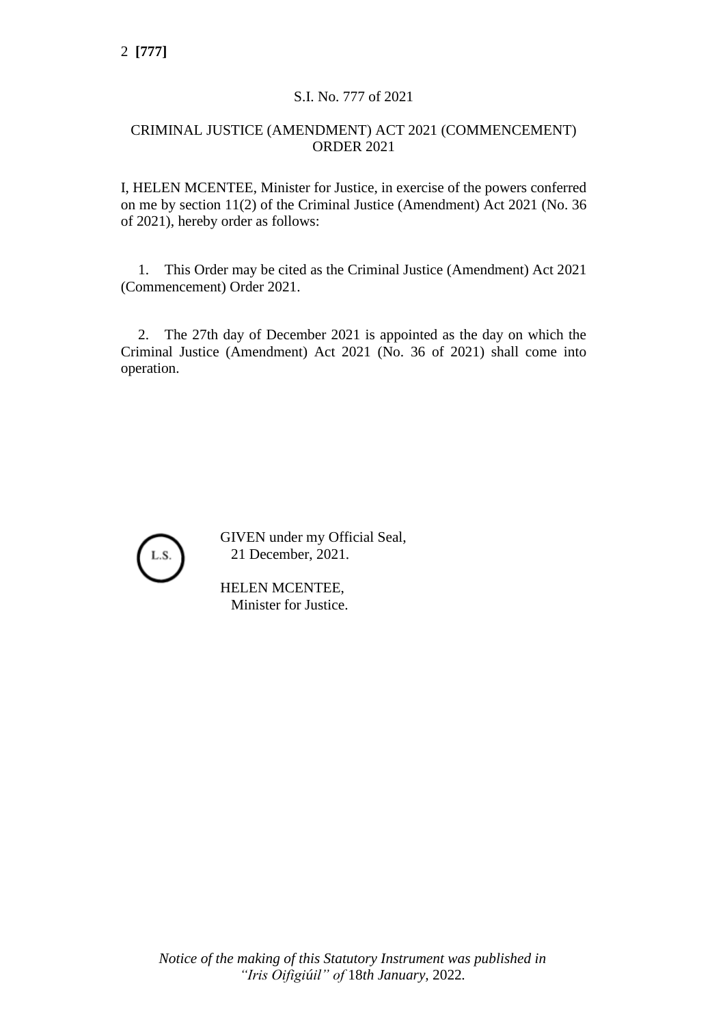#### S.I. No. 777 of 2021

#### CRIMINAL JUSTICE (AMENDMENT) ACT 2021 (COMMENCEMENT) ORDER 2021

I, HELEN MCENTEE, Minister for Justice, in exercise of the powers conferred on me by section 11(2) of the Criminal Justice (Amendment) Act 2021 (No. 36 of 2021), hereby order as follows:

1. This Order may be cited as the Criminal Justice (Amendment) Act 2021 (Commencement) Order 2021.

2. The 27th day of December 2021 is appointed as the day on which the Criminal Justice (Amendment) Act 2021 (No. 36 of 2021) shall come into operation.



GIVEN under my Official Seal, 21 December, 2021.

HELEN MCENTEE, Minister for Justice.